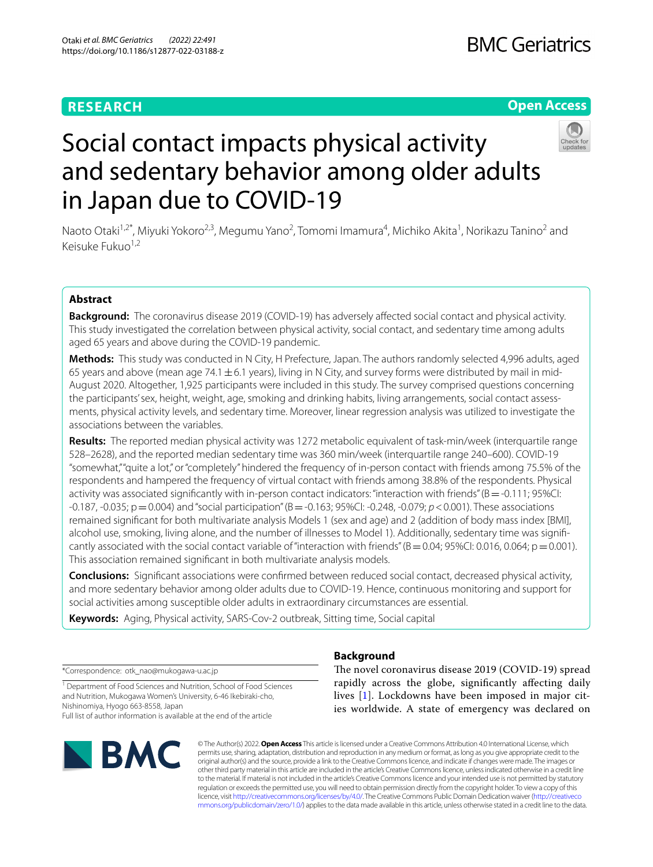# **RESEARCH**

# **BMC Geriatrics**

# **Open Access**



# Social contact impacts physical activity and sedentary behavior among older adults in Japan due to COVID-19

Naoto Otaki<sup>1,2\*</sup>, Miyuki Yokoro<sup>2,3</sup>, Megumu Yano<sup>2</sup>, Tomomi Imamura<sup>4</sup>, Michiko Akita<sup>1</sup>, Norikazu Tanino<sup>2</sup> and Keisuke Fukuo1,2

# **Abstract**

**Background:** The coronavirus disease 2019 (COVID-19) has adversely afected social contact and physical activity. This study investigated the correlation between physical activity, social contact, and sedentary time among adults aged 65 years and above during the COVID-19 pandemic.

**Methods:** This study was conducted in N City, H Prefecture, Japan. The authors randomly selected 4,996 adults, aged 65 years and above (mean age 74.1  $\pm$  6.1 years), living in N City, and survey forms were distributed by mail in mid-August 2020. Altogether, 1,925 participants were included in this study. The survey comprised questions concerning the participants' sex, height, weight, age, smoking and drinking habits, living arrangements, social contact assessments, physical activity levels, and sedentary time. Moreover, linear regression analysis was utilized to investigate the associations between the variables.

**Results:** The reported median physical activity was 1272 metabolic equivalent of task-min/week (interquartile range 528–2628), and the reported median sedentary time was 360 min/week (interquartile range 240–600). COVID-19 "somewhat," "quite a lot," or "completely" hindered the frequency of in-person contact with friends among 75.5% of the respondents and hampered the frequency of virtual contact with friends among 38.8% of the respondents. Physical activity was associated significantly with in-person contact indicators: "interaction with friends" ( $B = -0.111$ ; 95%CI: -0.187, -0.035; p=0.004) and "social participation" (B=-0.163; 95%CI: -0.248, -0.079; *p*<0.001). These associations remained signifcant for both multivariate analysis Models 1 (sex and age) and 2 (addition of body mass index [BMI], alcohol use, smoking, living alone, and the number of illnesses to Model 1). Additionally, sedentary time was signifcantly associated with the social contact variable of "interaction with friends" ( $B = 0.04$ ; 95%CI: 0.016, 0.064; p=0.001). This association remained signifcant in both multivariate analysis models.

**Conclusions:** Signifcant associations were confrmed between reduced social contact, decreased physical activity, and more sedentary behavior among older adults due to COVID-19. Hence, continuous monitoring and support for social activities among susceptible older adults in extraordinary circumstances are essential.

**Keywords:** Aging, Physical activity, SARS-Cov-2 outbreak, Sitting time, Social capital

\*Correspondence: otk\_nao@mukogawa-u.ac.jp

<sup>1</sup> Department of Food Sciences and Nutrition, School of Food Sciences and Nutrition, Mukogawa Women's University, 6-46 Ikebiraki-cho, Nishinomiya, Hyogo 663-8558, Japan Full list of author information is available at the end of the article



# **Background**

The novel coronavirus disease 2019 (COVID-19) spread rapidly across the globe, signifcantly afecting daily lives [[1\]](#page-6-0). Lockdowns have been imposed in major cities worldwide. A state of emergency was declared on

© The Author(s) 2022. **Open Access** This article is licensed under a Creative Commons Attribution 4.0 International License, which permits use, sharing, adaptation, distribution and reproduction in any medium or format, as long as you give appropriate credit to the original author(s) and the source, provide a link to the Creative Commons licence, and indicate if changes were made. The images or other third party material in this article are included in the article's Creative Commons licence, unless indicated otherwise in a credit line to the material. If material is not included in the article's Creative Commons licence and your intended use is not permitted by statutory regulation or exceeds the permitted use, you will need to obtain permission directly from the copyright holder. To view a copy of this licence, visit [http://creativecommons.org/licenses/by/4.0/.](http://creativecommons.org/licenses/by/4.0/) The Creative Commons Public Domain Dedication waiver ([http://creativeco](http://creativecommons.org/publicdomain/zero/1.0/) [mmons.org/publicdomain/zero/1.0/](http://creativecommons.org/publicdomain/zero/1.0/)) applies to the data made available in this article, unless otherwise stated in a credit line to the data.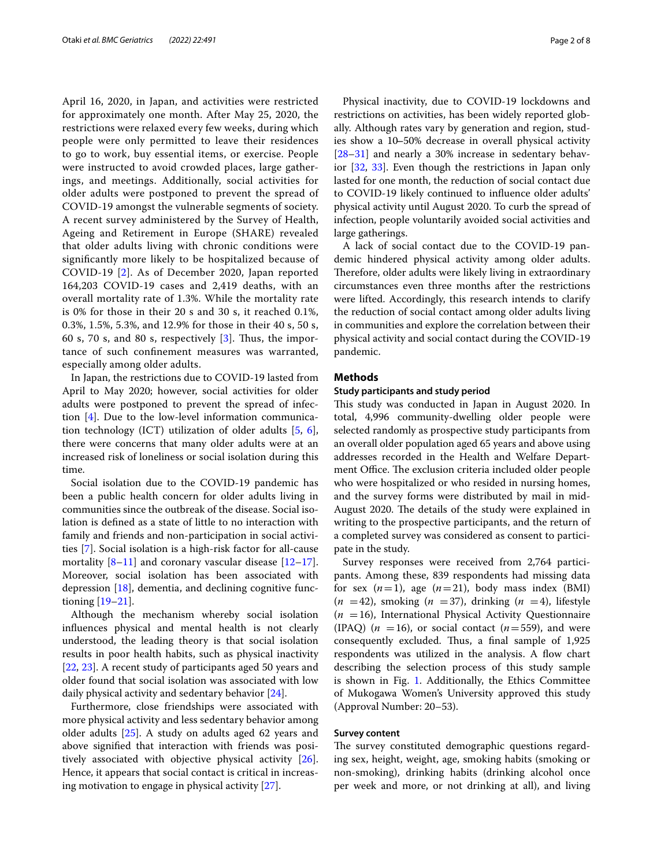April 16, 2020, in Japan, and activities were restricted for approximately one month. After May 25, 2020, the restrictions were relaxed every few weeks, during which people were only permitted to leave their residences to go to work, buy essential items, or exercise. People were instructed to avoid crowded places, large gatherings, and meetings. Additionally, social activities for older adults were postponed to prevent the spread of COVID-19 amongst the vulnerable segments of society. A recent survey administered by the Survey of Health, Ageing and Retirement in Europe (SHARE) revealed that older adults living with chronic conditions were signifcantly more likely to be hospitalized because of COVID-19 [\[2\]](#page-6-1). As of December 2020, Japan reported 164,203 COVID-19 cases and 2,419 deaths, with an overall mortality rate of 1.3%. While the mortality rate is 0% for those in their 20 s and 30 s, it reached 0.1%, 0.3%, 1.5%, 5.3%, and 12.9% for those in their 40 s, 50 s, 60 s, 70 s, and 80 s, respectively  $[3]$  $[3]$ . Thus, the importance of such confnement measures was warranted, especially among older adults.

In Japan, the restrictions due to COVID-19 lasted from April to May 2020; however, social activities for older adults were postponed to prevent the spread of infection [\[4](#page-6-3)]. Due to the low-level information communication technology (ICT) utilization of older adults [\[5,](#page-6-4) [6](#page-6-5)], there were concerns that many older adults were at an increased risk of loneliness or social isolation during this time.

Social isolation due to the COVID-19 pandemic has been a public health concern for older adults living in communities since the outbreak of the disease. Social isolation is defned as a state of little to no interaction with family and friends and non-participation in social activities [\[7\]](#page-6-6). Social isolation is a high-risk factor for all-cause mortality  $[8-11]$  $[8-11]$  $[8-11]$  and coronary vascular disease  $[12-17]$  $[12-17]$  $[12-17]$ . Moreover, social isolation has been associated with depression  $[18]$ , dementia, and declining cognitive functioning [\[19](#page-6-12)[–21](#page-6-13)].

Although the mechanism whereby social isolation infuences physical and mental health is not clearly understood, the leading theory is that social isolation results in poor health habits, such as physical inactivity [[22,](#page-6-14) [23](#page-6-15)]. A recent study of participants aged 50 years and older found that social isolation was associated with low daily physical activity and sedentary behavior [[24\]](#page-6-16).

Furthermore, close friendships were associated with more physical activity and less sedentary behavior among older adults [[25\]](#page-6-17). A study on adults aged 62 years and above signifed that interaction with friends was positively associated with objective physical activity [\[26](#page-6-18)]. Hence, it appears that social contact is critical in increasing motivation to engage in physical activity [\[27](#page-6-19)].

Physical inactivity, due to COVID-19 lockdowns and restrictions on activities, has been widely reported globally. Although rates vary by generation and region, studies show a 10–50% decrease in overall physical activity [[28–](#page-6-20)[31\]](#page-6-21) and nearly a 30% increase in sedentary behavior [\[32](#page-6-22), [33](#page-6-23)]. Even though the restrictions in Japan only lasted for one month, the reduction of social contact due to COVID-19 likely continued to infuence older adults' physical activity until August 2020. To curb the spread of infection, people voluntarily avoided social activities and large gatherings.

A lack of social contact due to the COVID-19 pandemic hindered physical activity among older adults. Therefore, older adults were likely living in extraordinary circumstances even three months after the restrictions were lifted. Accordingly, this research intends to clarify the reduction of social contact among older adults living in communities and explore the correlation between their physical activity and social contact during the COVID-19 pandemic.

### **Methods**

#### **Study participants and study period**

This study was conducted in Japan in August 2020. In total, 4,996 community-dwelling older people were selected randomly as prospective study participants from an overall older population aged 65 years and above using addresses recorded in the Health and Welfare Department Office. The exclusion criteria included older people who were hospitalized or who resided in nursing homes, and the survey forms were distributed by mail in mid-August 2020. The details of the study were explained in writing to the prospective participants, and the return of a completed survey was considered as consent to participate in the study.

Survey responses were received from 2,764 participants. Among these, 839 respondents had missing data for sex  $(n=1)$ , age  $(n=21)$ , body mass index (BMI)  $(n = 42)$ , smoking  $(n = 37)$ , drinking  $(n = 4)$ , lifestyle  $(n = 16)$ , International Physical Activity Questionnaire (IPAQ) ( $n = 16$ ), or social contact ( $n = 559$ ), and were consequently excluded. Thus, a final sample of 1,925 respondents was utilized in the analysis. A flow chart describing the selection process of this study sample is shown in Fig. [1.](#page-2-0) Additionally, the Ethics Committee of Mukogawa Women's University approved this study (Approval Number: 20–53).

#### **Survey content**

The survey constituted demographic questions regarding sex, height, weight, age, smoking habits (smoking or non-smoking), drinking habits (drinking alcohol once per week and more, or not drinking at all), and living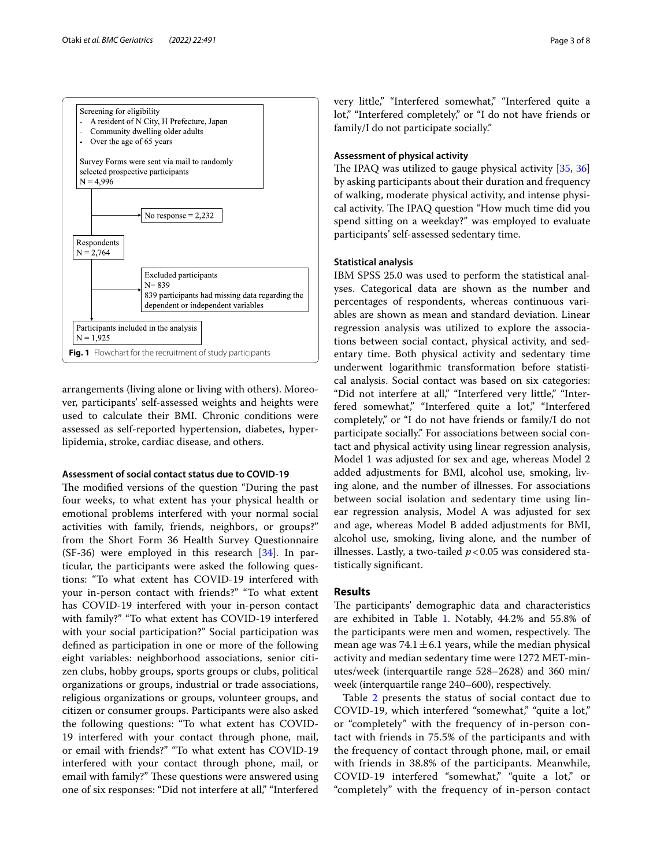

<span id="page-2-0"></span>arrangements (living alone or living with others). Moreover, participants' self-assessed weights and heights were used to calculate their BMI. Chronic conditions were assessed as self-reported hypertension, diabetes, hyperlipidemia, stroke, cardiac disease, and others.

# **Assessment of social contact status due to COVID‑19**

The modified versions of the question "During the past four weeks, to what extent has your physical health or emotional problems interfered with your normal social activities with family, friends, neighbors, or groups?" from the Short Form 36 Health Survey Questionnaire (SF-36) were employed in this research [[34\]](#page-6-24). In particular, the participants were asked the following questions: "To what extent has COVID-19 interfered with your in-person contact with friends?" "To what extent has COVID-19 interfered with your in-person contact with family?" "To what extent has COVID-19 interfered with your social participation?" Social participation was defned as participation in one or more of the following eight variables: neighborhood associations, senior citizen clubs, hobby groups, sports groups or clubs, political organizations or groups, industrial or trade associations, religious organizations or groups, volunteer groups, and citizen or consumer groups. Participants were also asked the following questions: "To what extent has COVID-19 interfered with your contact through phone, mail, or email with friends?" "To what extent has COVID-19 interfered with your contact through phone, mail, or email with family?" These questions were answered using one of six responses: "Did not interfere at all," "Interfered very little," "Interfered somewhat," "Interfered quite a lot," "Interfered completely," or "I do not have friends or family/I do not participate socially."

## **Assessment of physical activity**

The IPAQ was utilized to gauge physical activity  $[35, 36]$  $[35, 36]$  $[35, 36]$  $[35, 36]$  $[35, 36]$ by asking participants about their duration and frequency of walking, moderate physical activity, and intense physical activity. The IPAQ question "How much time did you spend sitting on a weekday?" was employed to evaluate participants' self-assessed sedentary time.

#### **Statistical analysis**

IBM SPSS 25.0 was used to perform the statistical analyses. Categorical data are shown as the number and percentages of respondents, whereas continuous variables are shown as mean and standard deviation. Linear regression analysis was utilized to explore the associations between social contact, physical activity, and sedentary time. Both physical activity and sedentary time underwent logarithmic transformation before statistical analysis. Social contact was based on six categories: "Did not interfere at all," "Interfered very little," "Interfered somewhat," "Interfered quite a lot," "Interfered completely," or "I do not have friends or family/I do not participate socially." For associations between social contact and physical activity using linear regression analysis, Model 1 was adjusted for sex and age, whereas Model 2 added adjustments for BMI, alcohol use, smoking, living alone, and the number of illnesses. For associations between social isolation and sedentary time using linear regression analysis, Model A was adjusted for sex and age, whereas Model B added adjustments for BMI, alcohol use, smoking, living alone, and the number of illnesses. Lastly, a two-tailed *p*<0.05 was considered statistically signifcant.

## **Results**

The participants' demographic data and characteristics are exhibited in Table [1.](#page-3-0) Notably, 44.2% and 55.8% of the participants were men and women, respectively. The mean age was  $74.1 \pm 6.1$  years, while the median physical activity and median sedentary time were 1272 MET-minutes/week (interquartile range 528–2628) and 360 min/ week (interquartile range 240–600), respectively.

Table [2](#page-3-1) presents the status of social contact due to COVID-19, which interfered "somewhat," "quite a lot," or "completely" with the frequency of in-person contact with friends in 75.5% of the participants and with the frequency of contact through phone, mail, or email with friends in 38.8% of the participants. Meanwhile, COVID-19 interfered "somewhat," "quite a lot," or "completely" with the frequency of in-person contact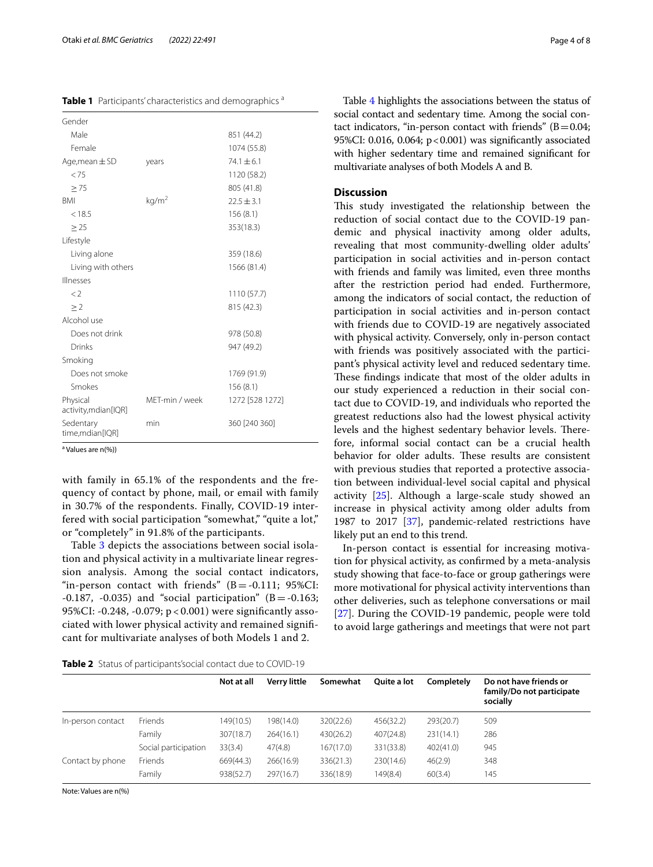<span id="page-3-0"></span>**Table 1** Participants' characteristics and demographics a

| Gender                           |                   |                 |
|----------------------------------|-------------------|-----------------|
| Male                             |                   | 851 (44.2)      |
| Female                           |                   | 1074 (55.8)     |
| Age, mean $\pm$ SD               | years             | $74.1 \pm 6.1$  |
| < 75                             |                   | 1120 (58.2)     |
| > 75                             |                   | 805 (41.8)      |
| <b>BMI</b>                       | kg/m <sup>2</sup> | $22.5 + 3.1$    |
| < 18.5                           |                   | 156(8.1)        |
| > 25                             |                   | 353(18.3)       |
| Lifestyle                        |                   |                 |
| Living alone                     |                   | 359 (18.6)      |
| Living with others               |                   | 1566 (81.4)     |
| Illnesses                        |                   |                 |
| $\langle$ 2                      |                   | 1110 (57.7)     |
| >2                               |                   | 815 (42.3)      |
| Alcohol use                      |                   |                 |
| Does not drink                   |                   | 978 (50.8)      |
| Drinks                           |                   | 947 (49.2)      |
| Smoking                          |                   |                 |
| Does not smoke                   |                   | 1769 (91.9)     |
| Smokes                           |                   | 156(8.1)        |
| Physical<br>activity, mdian[IQR] | MFT-min / week    | 1272 [528 1272] |
| Sedentary<br>time,mdian[IQR]     | min               | 360 [240 360]   |

<sup>a</sup> Values are n(%))

with family in 65.1% of the respondents and the frequency of contact by phone, mail, or email with family in 30.7% of the respondents. Finally, COVID-19 interfered with social participation "somewhat," "quite a lot," or "completely" in 91.8% of the participants.

Table [3](#page-4-0) depicts the associations between social isolation and physical activity in a multivariate linear regression analysis. Among the social contact indicators, "in-person contact with friends"  $(B = -0.111; 95\% CI:$  $-0.187$ ,  $-0.035$ ) and "social participation" (B =  $-0.163$ ; 95%CI: -0.248, -0.079; p < 0.001) were signifcantly associated with lower physical activity and remained signifcant for multivariate analyses of both Models 1 and 2.

Table [4](#page-4-1) highlights the associations between the status of social contact and sedentary time. Among the social contact indicators, "in-person contact with friends"  $(B=0.04;$ 95%CI: 0.016, 0.064; p<0.001) was signifcantly associated with higher sedentary time and remained signifcant for multivariate analyses of both Models A and B.

### **Discussion**

This study investigated the relationship between the reduction of social contact due to the COVID-19 pandemic and physical inactivity among older adults, revealing that most community-dwelling older adults' participation in social activities and in-person contact with friends and family was limited, even three months after the restriction period had ended. Furthermore, among the indicators of social contact, the reduction of participation in social activities and in-person contact with friends due to COVID-19 are negatively associated with physical activity. Conversely, only in-person contact with friends was positively associated with the participant's physical activity level and reduced sedentary time. These findings indicate that most of the older adults in our study experienced a reduction in their social contact due to COVID-19, and individuals who reported the greatest reductions also had the lowest physical activity levels and the highest sedentary behavior levels. Therefore, informal social contact can be a crucial health behavior for older adults. These results are consistent with previous studies that reported a protective association between individual-level social capital and physical activity [[25\]](#page-6-17). Although a large-scale study showed an increase in physical activity among older adults from 1987 to 2017 [[37\]](#page-6-27), pandemic-related restrictions have likely put an end to this trend.

In-person contact is essential for increasing motivation for physical activity, as confrmed by a meta-analysis study showing that face-to-face or group gatherings were more motivational for physical activity interventions than other deliveries, such as telephone conversations or mail [[27\]](#page-6-19). During the COVID-19 pandemic, people were told to avoid large gatherings and meetings that were not part

<span id="page-3-1"></span>**Table 2** Status of participants'social contact due to COVID-19

|                   |                      | Not at all | <b>Verry little</b> | Somewhat  | Ouite a lot | Completely | Do not have friends or<br>family/Do not participate<br>socially |
|-------------------|----------------------|------------|---------------------|-----------|-------------|------------|-----------------------------------------------------------------|
| In-person contact | Friends              | 149(10.5)  | 198(14.0)           | 320(22.6) | 456(32.2)   | 293(20.7)  | 509                                                             |
|                   | Family               | 307(18.7)  | 264(16.1)           | 430(26.2) | 407(24.8)   | 231(14.1)  | 286                                                             |
|                   | Social participation | 33(3.4)    | 47(4.8)             | 167(17.0) | 331(33.8)   | 402(41.0)  | 945                                                             |
| Contact by phone  | Friends              | 669(44.3)  | 266(16.9)           | 336(21.3) | 230(14.6)   | 46(2.9)    | 348                                                             |
|                   | Family               | 938(52.7)  | 297(16.7)           | 336(18.9) | 149(8.4)    | 60(3.4)    | 145                                                             |

Note: Values are n(%)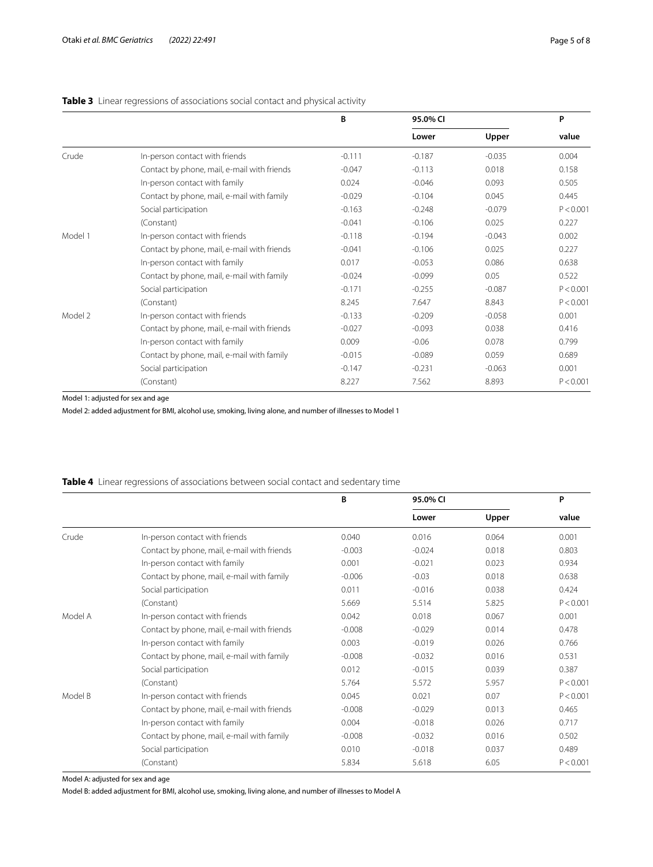# <span id="page-4-0"></span>**Table 3** Linear regressions of associations social contact and physical activity

|         |                                             | B        | 95.0% CI | P        |           |
|---------|---------------------------------------------|----------|----------|----------|-----------|
|         |                                             |          | Lower    | Upper    | value     |
| Crude   | In-person contact with friends              | $-0.111$ | $-0.187$ | $-0.035$ | 0.004     |
|         | Contact by phone, mail, e-mail with friends | $-0.047$ | $-0.113$ | 0.018    | 0.158     |
|         | In-person contact with family               | 0.024    | $-0.046$ | 0.093    | 0.505     |
|         | Contact by phone, mail, e-mail with family  | $-0.029$ | $-0.104$ | 0.045    | 0.445     |
|         | Social participation                        | $-0.163$ | $-0.248$ | $-0.079$ | P < 0.001 |
|         | (Constant)                                  | $-0.041$ | $-0.106$ | 0.025    | 0.227     |
| Model 1 | In-person contact with friends              | $-0.118$ | $-0.194$ | $-0.043$ | 0.002     |
|         | Contact by phone, mail, e-mail with friends | $-0.041$ | $-0.106$ | 0.025    | 0.227     |
|         | In-person contact with family               | 0.017    | $-0.053$ | 0.086    | 0.638     |
|         | Contact by phone, mail, e-mail with family  | $-0.024$ | $-0.099$ | 0.05     | 0.522     |
|         | Social participation                        | $-0.171$ | $-0.255$ | $-0.087$ | P < 0.001 |
|         | (Constant)                                  | 8.245    | 7.647    | 8.843    | P < 0.001 |
| Model 2 | In-person contact with friends              | $-0.133$ | $-0.209$ | $-0.058$ | 0.001     |
|         | Contact by phone, mail, e-mail with friends | $-0.027$ | $-0.093$ | 0.038    | 0.416     |
|         | In-person contact with family               | 0.009    | $-0.06$  | 0.078    | 0.799     |
|         | Contact by phone, mail, e-mail with family  | $-0.015$ | $-0.089$ | 0.059    | 0.689     |
|         | Social participation                        | $-0.147$ | $-0.231$ | $-0.063$ | 0.001     |
|         | (Constant)                                  | 8.227    | 7.562    | 8.893    | P < 0.001 |

Model 1: adjusted for sex and age

Model 2: added adjustment for BMI, alcohol use, smoking, living alone, and number of illnesses to Model 1

# <span id="page-4-1"></span>**Table 4** Linear regressions of associations between social contact and sedentary time

|         |                                             | B        | 95.0% CI | P     |           |
|---------|---------------------------------------------|----------|----------|-------|-----------|
|         |                                             |          | Lower    | Upper | value     |
| Crude   | In-person contact with friends              | 0.040    | 0.016    | 0.064 | 0.001     |
|         | Contact by phone, mail, e-mail with friends | $-0.003$ | $-0.024$ | 0.018 | 0.803     |
|         | In-person contact with family               | 0.001    | $-0.021$ | 0.023 | 0.934     |
|         | Contact by phone, mail, e-mail with family  | $-0.006$ | $-0.03$  | 0.018 | 0.638     |
|         | Social participation                        | 0.011    | $-0.016$ | 0.038 | 0.424     |
|         | (Constant)                                  | 5.669    | 5.514    | 5.825 | P < 0.001 |
| Model A | In-person contact with friends              | 0.042    | 0.018    | 0.067 | 0.001     |
|         | Contact by phone, mail, e-mail with friends | $-0.008$ | $-0.029$ | 0.014 | 0.478     |
|         | In-person contact with family               | 0.003    | $-0.019$ | 0.026 | 0.766     |
|         | Contact by phone, mail, e-mail with family  | $-0.008$ | $-0.032$ | 0.016 | 0.531     |
|         | Social participation                        | 0.012    | $-0.015$ | 0.039 | 0.387     |
|         | (Constant)                                  | 5.764    | 5.572    | 5.957 | P < 0.001 |
| Model B | In-person contact with friends              | 0.045    | 0.021    | 0.07  | P < 0.001 |
|         | Contact by phone, mail, e-mail with friends | $-0.008$ | $-0.029$ | 0.013 | 0.465     |
|         | In-person contact with family               | 0.004    | $-0.018$ | 0.026 | 0.717     |
|         | Contact by phone, mail, e-mail with family  | $-0.008$ | $-0.032$ | 0.016 | 0.502     |
|         | Social participation                        | 0.010    | $-0.018$ | 0.037 | 0.489     |
|         | (Constant)                                  | 5.834    | 5.618    | 6.05  | P < 0.001 |

Model A: adjusted for sex and age

Model B: added adjustment for BMI, alcohol use, smoking, living alone, and number of illnesses to Model A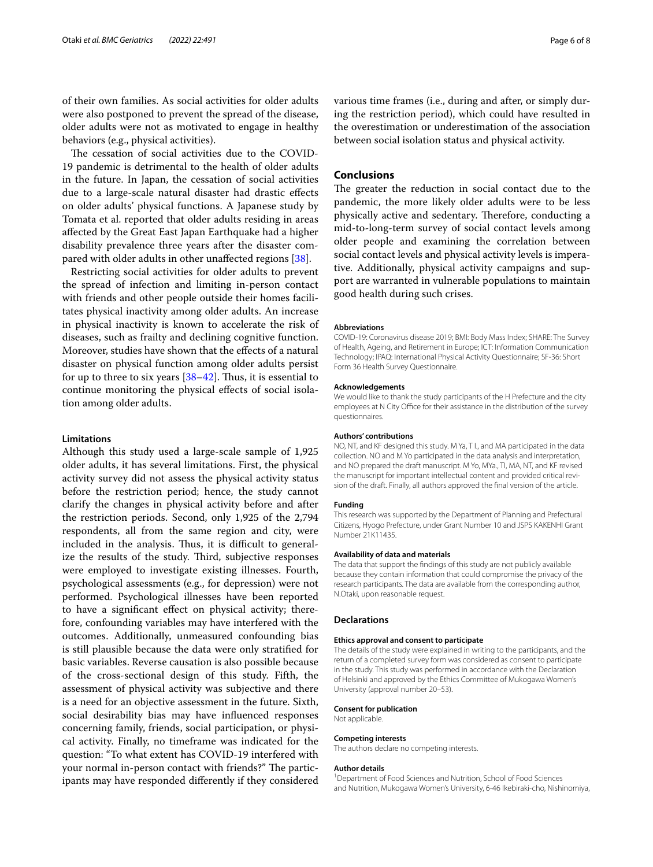of their own families. As social activities for older adults were also postponed to prevent the spread of the disease, older adults were not as motivated to engage in healthy behaviors (e.g., physical activities).

The cessation of social activities due to the COVID-19 pandemic is detrimental to the health of older adults in the future. In Japan, the cessation of social activities due to a large-scale natural disaster had drastic efects on older adults' physical functions. A Japanese study by Tomata et al. reported that older adults residing in areas afected by the Great East Japan Earthquake had a higher disability prevalence three years after the disaster compared with older adults in other unafected regions [\[38\]](#page-6-28).

Restricting social activities for older adults to prevent the spread of infection and limiting in-person contact with friends and other people outside their homes facilitates physical inactivity among older adults. An increase in physical inactivity is known to accelerate the risk of diseases, such as frailty and declining cognitive function. Moreover, studies have shown that the efects of a natural disaster on physical function among older adults persist for up to three to six years  $[38-42]$  $[38-42]$ . Thus, it is essential to continue monitoring the physical efects of social isolation among older adults.

#### **Limitations**

Although this study used a large-scale sample of 1,925 older adults, it has several limitations. First, the physical activity survey did not assess the physical activity status before the restriction period; hence, the study cannot clarify the changes in physical activity before and after the restriction periods. Second, only 1,925 of the 2,794 respondents, all from the same region and city, were included in the analysis. Thus, it is difficult to generalize the results of the study. Third, subjective responses were employed to investigate existing illnesses. Fourth, psychological assessments (e.g., for depression) were not performed. Psychological illnesses have been reported to have a signifcant efect on physical activity; therefore, confounding variables may have interfered with the outcomes. Additionally, unmeasured confounding bias is still plausible because the data were only stratifed for basic variables. Reverse causation is also possible because of the cross-sectional design of this study. Fifth, the assessment of physical activity was subjective and there is a need for an objective assessment in the future. Sixth, social desirability bias may have infuenced responses concerning family, friends, social participation, or physical activity. Finally, no timeframe was indicated for the question: "To what extent has COVID-19 interfered with your normal in-person contact with friends?" The participants may have responded diferently if they considered

various time frames (i.e., during and after, or simply during the restriction period), which could have resulted in the overestimation or underestimation of the association between social isolation status and physical activity.

## **Conclusions**

The greater the reduction in social contact due to the pandemic, the more likely older adults were to be less physically active and sedentary. Therefore, conducting a mid-to-long-term survey of social contact levels among older people and examining the correlation between social contact levels and physical activity levels is imperative. Additionally, physical activity campaigns and support are warranted in vulnerable populations to maintain good health during such crises.

#### **Abbreviations**

COVID-19: Coronavirus disease 2019; BMI: Body Mass Index; SHARE: The Survey of Health, Ageing, and Retirement in Europe; ICT: Information Communication Technology; IPAQ: International Physical Activity Questionnaire; SF-36: Short Form 36 Health Survey Questionnaire.

#### **Acknowledgements**

We would like to thank the study participants of the H Prefecture and the city employees at N City Office for their assistance in the distribution of the survey questionnaires.

#### **Authors' contributions**

NO, NT, and KF designed this study. M Ya, T I., and MA participated in the data collection. NO and M Yo participated in the data analysis and interpretation, and NO prepared the draft manuscript. M Yo, MYa., TI, MA, NT, and KF revised the manuscript for important intellectual content and provided critical revision of the draft. Finally, all authors approved the fnal version of the article.

#### **Funding**

This research was supported by the Department of Planning and Prefectural Citizens, Hyogo Prefecture, under Grant Number 10 and JSPS KAKENHI Grant Number 21K11435.

#### **Availability of data and materials**

The data that support the fndings of this study are not publicly available because they contain information that could compromise the privacy of the research participants. The data are available from the corresponding author, N.Otaki, upon reasonable request.

#### **Declarations**

#### **Ethics approval and consent to participate**

The details of the study were explained in writing to the participants, and the return of a completed survey form was considered as consent to participate in the study. This study was performed in accordance with the Declaration of Helsinki and approved by the Ethics Committee of Mukogawa Women's University (approval number 20–53).

#### **Consent for publication**

Not applicable.

#### **Competing interests**

The authors declare no competing interests.

#### **Author details**

<sup>1</sup> Department of Food Sciences and Nutrition, School of Food Sciences and Nutrition, Mukogawa Women's University, 6-46 Ikebiraki-cho, Nishinomiya,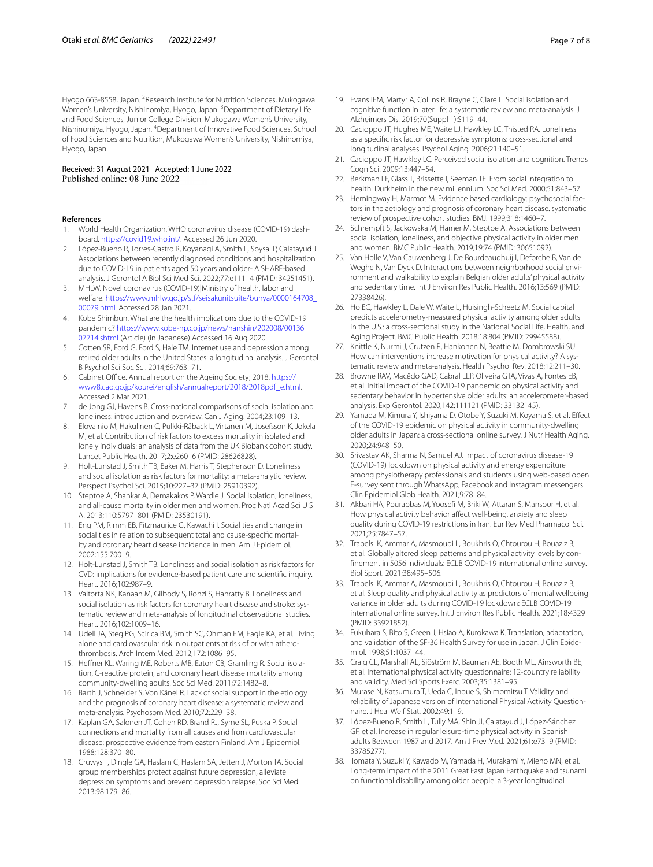Hyogo 663-8558, Japan. <sup>2</sup> Research Institute for Nutrition Sciences, Mukogawa Women's University, Nishinomiya, Hyogo, Japan. <sup>3</sup>Department of Dietary Life and Food Sciences, Junior College Division, Mukogawa Women's University, Nishinomiya, Hyogo, Japan. <sup>4</sup> Department of Innovative Food Sciences, School of Food Sciences and Nutrition, Mukogawa Women's University, Nishinomiya, Hyogo, Japan.

# Received: 31 August 2021 Accepted: 1 June 2022<br>Published online: 08 June 2022

#### **References**

- <span id="page-6-0"></span>1. World Health Organization. WHO coronavirus disease (COVID-19) dashboard. [https://covid19.who.int/.](https://covid19.who.int/) Accessed 26 Jun 2020.
- <span id="page-6-1"></span>2. López-Bueno R, Torres-Castro R, Koyanagi A, Smith L, Soysal P, Calatayud J. Associations between recently diagnosed conditions and hospitalization due to COVID-19 in patients aged 50 years and older- A SHARE-based analysis. J Gerontol A Biol Sci Med Sci. 2022;77:e111–4 (PMID: 34251451).
- <span id="page-6-2"></span>3. MHLW. Novel coronavirus (COVID-19)|Ministry of health, labor and welfare. [https://www.mhlw.go.jp/stf/seisakunitsuite/bunya/0000164708\\_](https://www.mhlw.go.jp/stf/seisakunitsuite/bunya/0000164708_00079.html) [00079.html](https://www.mhlw.go.jp/stf/seisakunitsuite/bunya/0000164708_00079.html). Accessed 28 Jan 2021.
- <span id="page-6-3"></span>4. Kobe Shimbun. What are the health implications due to the COVID-19 pandemic? [https://www.kobe-np.co.jp/news/hanshin/202008/00136](https://www.kobe-np.co.jp/news/hanshin/202008/0013607714.shtml) [07714.shtml](https://www.kobe-np.co.jp/news/hanshin/202008/0013607714.shtml) (Article) (in Japanese) Accessed 16 Aug 2020.
- <span id="page-6-4"></span>5. Cotten SR, Ford G, Ford S, Hale TM. Internet use and depression among retired older adults in the United States: a longitudinal analysis. J Gerontol B Psychol Sci Soc Sci. 2014;69:763–71.
- <span id="page-6-5"></span>6. Cabinet Office. Annual report on the Ageing Society; 2018. [https://](https://www8.cao.go.jp/kourei/english/annualreport/2018/2018pdf_e.html) [www8.cao.go.jp/kourei/english/annualreport/2018/2018pdf\\_e.html](https://www8.cao.go.jp/kourei/english/annualreport/2018/2018pdf_e.html). Accessed 2 Mar 2021.
- <span id="page-6-6"></span>7. de Jong GJ, Havens B. Cross-national comparisons of social isolation and loneliness: introduction and overview. Can J Aging. 2004;23:109–13.
- <span id="page-6-7"></span>8. Elovainio M, Hakulinen C, Pulkki-Råback L, Virtanen M, Josefsson K, Jokela M, et al. Contribution of risk factors to excess mortality in isolated and lonely individuals: an analysis of data from the UK Biobank cohort study. Lancet Public Health. 2017;2:e260–6 (PMID: 28626828).
- 9. Holt-Lunstad J, Smith TB, Baker M, Harris T, Stephenson D. Loneliness and social isolation as risk factors for mortality: a meta-analytic review. Perspect Psychol Sci. 2015;10:227–37 (PMID: 25910392).
- 10. Steptoe A, Shankar A, Demakakos P, Wardle J. Social isolation, loneliness, and all-cause mortality in older men and women. Proc Natl Acad Sci U S A. 2013;110:5797–801 (PMID: 23530191).
- <span id="page-6-8"></span>11. Eng PM, Rimm EB, Fitzmaurice G, Kawachi I. Social ties and change in social ties in relation to subsequent total and cause-specifc mortality and coronary heart disease incidence in men. Am J Epidemiol. 2002;155:700–9.
- <span id="page-6-9"></span>12. Holt-Lunstad J, Smith TB. Loneliness and social isolation as risk factors for CVD: implications for evidence-based patient care and scientifc inquiry. Heart. 2016;102:987–9.
- 13. Valtorta NK, Kanaan M, Gilbody S, Ronzi S, Hanratty B. Loneliness and social isolation as risk factors for coronary heart disease and stroke: systematic review and meta-analysis of longitudinal observational studies. Heart. 2016;102:1009–16.
- 14. Udell JA, Steg PG, Scirica BM, Smith SC, Ohman EM, Eagle KA, et al. Living alone and cardiovascular risk in outpatients at risk of or with atherothrombosis. Arch Intern Med. 2012;172:1086–95.
- 15. Hefner KL, Waring ME, Roberts MB, Eaton CB, Gramling R. Social isolation, C-reactive protein, and coronary heart disease mortality among community-dwelling adults. Soc Sci Med. 2011;72:1482–8.
- 16. Barth J, Schneider S, Von Känel R. Lack of social support in the etiology and the prognosis of coronary heart disease: a systematic review and meta-analysis. Psychosom Med. 2010;72:229–38.
- <span id="page-6-10"></span>17. Kaplan GA, Salonen JT, Cohen RD, Brand RJ, Syme SL, Puska P. Social connections and mortality from all causes and from cardiovascular disease: prospective evidence from eastern Finland. Am J Epidemiol. 1988;128:370–80.
- <span id="page-6-11"></span>18. Cruwys T, Dingle GA, Haslam C, Haslam SA, Jetten J, Morton TA. Social group memberships protect against future depression, alleviate depression symptoms and prevent depression relapse. Soc Sci Med. 2013;98:179–86.
- <span id="page-6-12"></span>19. Evans IEM, Martyr A, Collins R, Brayne C, Clare L. Social isolation and cognitive function in later life: a systematic review and meta-analysis. J Alzheimers Dis. 2019;70(Suppl 1):S119–44.
- 20. Cacioppo JT, Hughes ME, Waite LJ, Hawkley LC, Thisted RA. Loneliness as a specifc risk factor for depressive symptoms: cross-sectional and longitudinal analyses. Psychol Aging. 2006;21:140–51.
- <span id="page-6-13"></span>21. Cacioppo JT, Hawkley LC. Perceived social isolation and cognition. Trends Cogn Sci. 2009;13:447–54.
- <span id="page-6-14"></span>22. Berkman LF, Glass T, Brissette I, Seeman TE. From social integration to health: Durkheim in the new millennium. Soc Sci Med. 2000;51:843–57.
- <span id="page-6-15"></span>23. Hemingway H, Marmot M. Evidence based cardiology: psychosocial factors in the aetiology and prognosis of coronary heart disease. systematic review of prospective cohort studies. BMJ. 1999;318:1460–7.
- <span id="page-6-16"></span>24. Schrempft S, Jackowska M, Hamer M, Steptoe A. Associations between social isolation, loneliness, and objective physical activity in older men and women. BMC Public Health. 2019;19:74 (PMID: 30651092).
- <span id="page-6-17"></span>25. Van Holle V, Van Cauwenberg J, De Bourdeaudhuij I, Deforche B, Van de Weghe N, Van Dyck D. Interactions between neighborhood social environment and walkability to explain Belgian older adults' physical activity and sedentary time. Int J Environ Res Public Health. 2016;13:569 (PMID: 27338426).
- <span id="page-6-18"></span>26. Ho EC, Hawkley L, Dale W, Waite L, Huisingh-Scheetz M. Social capital predicts accelerometry-measured physical activity among older adults in the U.S.: a cross-sectional study in the National Social Life, Health, and Aging Project. BMC Public Health. 2018;18:804 (PMID: 29945588).
- <span id="page-6-19"></span>27. Knittle K, Nurmi J, Crutzen R, Hankonen N, Beattie M, Dombrowski SU. How can interventions increase motivation for physical activity? A systematic review and meta-analysis. Health Psychol Rev. 2018;12:211–30.
- <span id="page-6-20"></span>28. Browne RAV, Macêdo GAD, Cabral LLP, Oliveira GTA, Vivas A, Fontes EB, et al. Initial impact of the COVID-19 pandemic on physical activity and sedentary behavior in hypertensive older adults: an accelerometer-based analysis. Exp Gerontol. 2020;142:111121 (PMID: 33132145).
- 29. Yamada M, Kimura Y, Ishiyama D, Otobe Y, Suzuki M, Koyama S, et al. Efect of the COVID-19 epidemic on physical activity in community-dwelling older adults in Japan: a cross-sectional online survey. J Nutr Health Aging. 2020;24:948–50.
- 30. Srivastav AK, Sharma N, Samuel AJ. Impact of coronavirus disease-19 (COVID-19) lockdown on physical activity and energy expenditure among physiotherapy professionals and students using web-based open E-survey sent through WhatsApp, Facebook and Instagram messengers. Clin Epidemiol Glob Health. 2021;9:78–84.
- <span id="page-6-21"></span>31. Akbari HA, Pourabbas M, Yoosef M, Briki W, Attaran S, Mansoor H, et al. How physical activity behavior afect well-being, anxiety and sleep quality during COVID-19 restrictions in Iran. Eur Rev Med Pharmacol Sci. 2021;25:7847–57.
- <span id="page-6-22"></span>32. Trabelsi K, Ammar A, Masmoudi L, Boukhris O, Chtourou H, Bouaziz B, et al. Globally altered sleep patterns and physical activity levels by confnement in 5056 individuals: ECLB COVID-19 international online survey. Biol Sport. 2021;38:495–506.
- <span id="page-6-23"></span>33. Trabelsi K, Ammar A, Masmoudi L, Boukhris O, Chtourou H, Bouaziz B, et al. Sleep quality and physical activity as predictors of mental wellbeing variance in older adults during COVID-19 lockdown: ECLB COVID-19 international online survey. Int J Environ Res Public Health. 2021;18:4329 (PMID: 33921852).
- <span id="page-6-24"></span>34. Fukuhara S, Bito S, Green J, Hsiao A, Kurokawa K. Translation, adaptation, and validation of the SF-36 Health Survey for use in Japan. J Clin Epidemiol. 1998;51:1037–44.
- <span id="page-6-25"></span>35. Craig CL, Marshall AL, Sjöström M, Bauman AE, Booth ML, Ainsworth BE, et al. International physical activity questionnaire: 12-country reliability and validity. Med Sci Sports Exerc. 2003;35:1381–95.
- <span id="page-6-26"></span>36. Murase N, Katsumura T, Ueda C, Inoue S, Shimomitsu T. Validity and reliability of Japanese version of International Physical Activity Questionnaire. J Heal Welf Stat. 2002;49:1–9.
- <span id="page-6-27"></span>37. López-Bueno R, Smith L, Tully MA, Shin JI, Calatayud J, López-Sánchez GF, et al. Increase in regular leisure-time physical activity in Spanish adults Between 1987 and 2017. Am J Prev Med. 2021;61:e73–9 (PMID: 33785277).
- <span id="page-6-28"></span>38. Tomata Y, Suzuki Y, Kawado M, Yamada H, Murakami Y, Mieno MN, et al. Long-term impact of the 2011 Great East Japan Earthquake and tsunami on functional disability among older people: a 3-year longitudinal